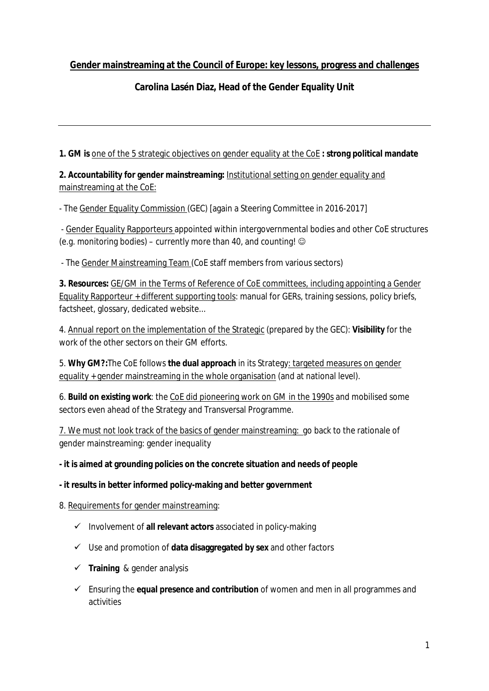## **Gender mainstreaming at the Council of Europe: key lessons, progress and challenges**

## **Carolina Lasén Diaz, Head of the Gender Equality Unit**

**1. GM is** one of the 5 strategic objectives on gender equality at the CoE **: strong political mandate**

**2. Accountability for gender mainstreaming:** Institutional setting on gender equality and mainstreaming at the CoE:

- The Gender Equality Commission (GEC) [again a Steering Committee in 2016-2017]

- Gender Equality Rapporteurs appointed within intergovernmental bodies and other CoE structures (e.g. monitoring bodies) – currently more than 40, and counting!  $\odot$ 

- The Gender Mainstreaming Team (CoE staff members from various sectors)

**3. Resources:** GE/GM in the Terms of Reference of CoE committees, including appointing a Gender Equality Rapporteur + different supporting tools: manual for GERs, training sessions, policy briefs, factsheet, glossary, dedicated website...

4. Annual report on the implementation of the Strategic (prepared by the GEC): **Visibility** for the work of the other sectors on their GM efforts.

5. **Why GM?:**The CoE follows **the dual approach** in its Strategy: targeted measures on gender equality + gender mainstreaming in the whole organisation (and at national level).

6. **Build on existing work**: the CoE did pioneering work on GM in the 1990s and mobilised some sectors even ahead of the Strategy and Transversal Programme.

7. We must not look track of the basics of gender mainstreaming: go back to the rationale of gender mainstreaming: gender inequality

**- it is aimed at grounding policies on the concrete situation and needs of people**

**- it results in better informed policy-making and better government**

8. Requirements for gender mainstreaming:

- Involvement of **all relevant actors** associated in policy-making
- Use and promotion of **data disaggregated by sex** and other factors
- **Training** & gender analysis
- Ensuring the **equal presence and contribution** of women and men in all programmes and activities